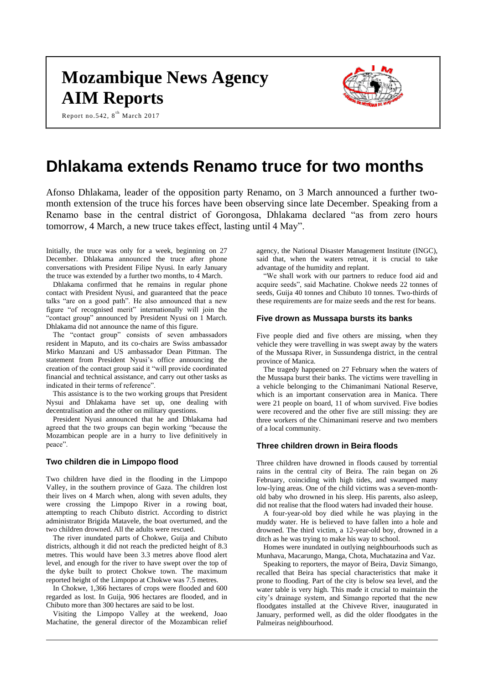# **Mozambique News Agency AIM Reports**





# **Dhlakama extends Renamo truce for two months**

Afonso Dhlakama, leader of the opposition party Renamo, on 3 March announced a further twomonth extension of the truce his forces have been observing since late December. Speaking from a Renamo base in the central district of Gorongosa, Dhlakama declared "as from zero hours tomorrow, 4 March, a new truce takes effect, lasting until 4 May".

Initially, the truce was only for a week, beginning on 27 December. Dhlakama announced the truce after phone conversations with President Filipe Nyusi. In early January the truce was extended by a further two months, to 4 March.

Dhlakama confirmed that he remains in regular phone contact with President Nyusi, and guaranteed that the peace talks "are on a good path". He also announced that a new figure "of recognised merit" internationally will join the "contact group" announced by President Nyusi on 1 March. Dhlakama did not announce the name of this figure.

The "contact group" consists of seven ambassadors resident in Maputo, and its co-chairs are Swiss ambassador Mirko Manzani and US ambassador Dean Pittman. The statement from President Nyusi's office announcing the creation of the contact group said it "will provide coordinated financial and technical assistance, and carry out other tasks as indicated in their terms of reference".

This assistance is to the two working groups that President Nysui and Dhlakama have set up, one dealing with decentralisation and the other on military questions.

President Nyusi announced that he and Dhlakama had agreed that the two groups can begin working "because the Mozambican people are in a hurry to live definitively in peace".

# **Two children die in Limpopo flood**

Two children have died in the flooding in the Limpopo Valley, in the southern province of Gaza. The children lost their lives on 4 March when, along with seven adults, they were crossing the Limpopo River in a rowing boat, attempting to reach Chibuto district. According to district administrator Brigida Matavele, the boat overturned, and the two children drowned. All the adults were rescued.

The river inundated parts of Chokwe, Guija and Chibuto districts, although it did not reach the predicted height of 8.3 metres. This would have been 3.3 metres above flood alert level, and enough for the river to have swept over the top of the dyke built to protect Chokwe town. The maximum reported height of the Limpopo at Chokwe was 7.5 metres.

In Chokwe, 1,366 hectares of crops were flooded and 600 regarded as lost. In Guija, 906 hectares are flooded, and in Chibuto more than 300 hectares are said to be lost.

Visiting the Limpopo Valley at the weekend, Joao Machatine, the general director of the Mozambican relief agency, the National Disaster Management Institute (INGC), said that, when the waters retreat, it is crucial to take advantage of the humidity and replant.

"We shall work with our partners to reduce food aid and acquire seeds", said Machatine. Chokwe needs 22 tonnes of seeds, Guija 40 tonnes and Chibuto 10 tonnes. Two-thirds of these requirements are for maize seeds and the rest for beans.

#### **Five drown as Mussapa bursts its banks**

Five people died and five others are missing, when they vehicle they were travelling in was swept away by the waters of the Mussapa River, in Sussundenga district, in the central province of Manica.

The tragedy happened on 27 February when the waters of the Mussapa burst their banks. The victims were travelling in a vehicle belonging to the Chimanimani National Reserve, which is an important conservation area in Manica. There were 21 people on board, 11 of whom survived. Five bodies were recovered and the other five are still missing: they are three workers of the Chimanimani reserve and two members of a local community.

#### **Three children drown in Beira floods**

Three children have drowned in floods caused by torrential rains in the central city of Beira. The rain began on 26 February, coinciding with high tides, and swamped many low-lying areas. One of the child victims was a seven-monthold baby who drowned in his sleep. His parents, also asleep, did not realise that the flood waters had invaded their house.

A four-year-old boy died while he was playing in the muddy water. He is believed to have fallen into a hole and drowned. The third victim, a 12-year-old boy, drowned in a ditch as he was trying to make his way to school.

Homes were inundated in outlying neighbourhoods such as Munhava, Macarungo, Manga, Chota, Muchatazina and Vaz.

Speaking to reporters, the mayor of Beira, Daviz Simango, recalled that Beira has special characteristics that make it prone to flooding. Part of the city is below sea level, and the water table is very high. This made it crucial to maintain the city's drainage system, and Simango reported that the new floodgates installed at the Chiveve River, inaugurated in January, performed well, as did the older floodgates in the Palmeiras neighbourhood.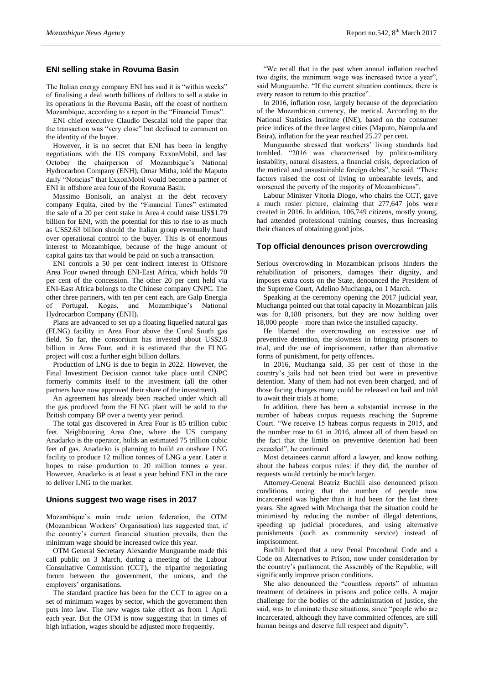# **ENI selling stake in Rovuma Basin**

The Italian energy company ENI has said it is "within weeks" of finalising a deal worth billions of dollars to sell a stake in its operations in the Rovuma Basin, off the coast of northern Mozambique, according to a report in the "Financial Times".

ENI chief executive Claudio Descalzi told the paper that the transaction was "very close" but declined to comment on the identity of the buyer.

However, it is no secret that ENI has been in lengthy negotiations with the US company ExxonMobil, and last October the chairperson of Mozambique's National Hydrocarbon Company (ENH), Omar Mitha, told the Maputo daily "Noticias" that ExxonMobil would become a partner of ENI in offshore area four of the Rovuma Basin.

Massimo Bonisoli, an analyst at the debt recovery company Equita, cited by the "Financial Times" estimated the sale of a 20 per cent stake in Area 4 could raise US\$1.79 billion for ENI, with the potential for this to rise to as much as US\$2.63 billion should the Italian group eventually hand over operational control to the buyer. This is of enormous interest to Mozambique, because of the huge amount of capital gains tax that would be paid on such a transaction.

ENI controls a 50 per cent indirect interest in Offshore Area Four owned through ENI-East Africa, which holds 70 per cent of the concession. The other 20 per cent held via ENI-East Africa belongs to the Chinese company CNPC. The other three partners, with ten per cent each, are Galp Energia of Portugal, Kogas, and Mozambique's National Hydrocarbon Company (ENH).

Plans are advanced to set up a floating liquefied natural gas (FLNG) facility in Area Four above the Coral South gas field. So far, the consortium has invested about US\$2.8 billion in Area Four, and it is estimated that the FLNG project will cost a further eight billion dollars.

Production of LNG is due to begin in 2022. However, the Final Investment Decision cannot take place until CNPC formerly commits itself to the investment (all the other partners have now approved their share of the investment).

An agreement has already been reached under which all the gas produced from the FLNG plant will be sold to the British company BP over a twenty year period.

The total gas discovered in Area Four is 85 trillion cubic feet. Neighbouring Area One, where the US company Anadarko is the operator, holds an estimated 75 trillion cubic feet of gas. Anadarko is planning to build an onshore LNG facility to produce 12 million tonnes of LNG a year. Later it hopes to raise production to 20 million tonnes a year. However, Anadarko is at least a year behind ENI in the race to deliver LNG to the market.

### **Unions suggest two wage rises in 2017**

Mozambique's main trade union federation, the OTM (Mozambican Workers' Organisation) has suggested that, if the country's current financial situation prevails, then the minimum wage should be increased twice this year.

OTM General Secretary Alexandre Munguambe made this call public on 3 March, during a meeting of the Labour Consultative Commission (CCT), the tripartite negotiating forum between the government, the unions, and the employers' organisations.

The standard practice has been for the CCT to agree on a set of minimum wages by sector, which the government then puts into law. The new wages take effect as from 1 April each year. But the OTM is now suggesting that in times of high inflation, wages should be adjusted more frequently.

"We recall that in the past when annual inflation reached two digits, the minimum wage was increased twice a year", said Munguambe. "If the current situation continues, there is every reason to return to this practice".

In 2016, inflation rose, largely because of the depreciation of the Mozambican currency, the metical. According to the National Statistics Institute (INE), based on the consumer price indices of the three largest cities (Maputo, Nampula and Beira), inflation for the year reached 25.27 per cent.

Munguambe stressed that workers' living standards had tumbled. "2016 was characterised by politico-military instability, natural disasters, a financial crisis, depreciation of the metical and unsustainable foreign debts", he said. "These factors raised the cost of living to unbearable levels, and worsened the poverty of the majority of Mozambicans".

Labour Minister Vitoria Diogo, who chairs the CCT, gave a much rosier picture, claiming that 277,647 jobs were created in 2016. In addition, 106,749 citizens, mostly young, had attended professional training courses, thus increasing their chances of obtaining good jobs.

# **Top official denounces prison overcrowding**

Serious overcrowding in Mozambican prisons hinders the rehabilitation of prisoners, damages their dignity, and imposes extra costs on the State, denounced the President of the Supreme Court, Adelino Muchanga, on 1 March.

Speaking at the ceremony opening the 2017 judicial year, Muchanga pointed out that total capacity in Mozambican jails was for 8,188 prisoners, but they are now holding over 18,000 people – more than twice the installed capacity.

He blamed the overcrowding on excessive use of preventive detention, the slowness in bringing prisoners to trial, and the use of imprisonment, rather than alternative forms of punishment, for petty offences.

In 2016, Muchanga said, 35 per cent of those in the country's jails had not been tried but were in preventive detention. Many of them had not even been charged, and of those facing charges many could be released on bail and told to await their trials at home.

In addition, there has been a substantial increase in the number of habeas corpus requests reaching the Supreme Court. "We receive 15 habeas corpus requests in 2015, and the number rose to 61 in 2016, almost all of them based on the fact that the limits on preventive detention had been exceeded", he continued.

Most detainees cannot afford a lawyer, and know nothing about the habeas corpus rules: if they did, the number of requests would certainly be much larger.

Attorney-General Beatriz Buchili also denounced prison conditions, noting that the number of people now incarcerated was higher than it had been for the last three years. She agreed with Muchanga that the situation could be minimised by reducing the number of illegal detentions, speeding up judicial procedures, and using alternative punishments (such as community service) instead of imprisonment.

Buchili hoped that a new Penal Procedural Code and a Code on Alternatives to Prison, now under consideration by the country's parliament, the Assembly of the Republic, will significantly improve prison conditions.

She also denounced the "countless reports" of inhuman treatment of detainees in prisons and police cells. A major challenge for the bodies of the administration of justice, she said, was to eliminate these situations, since "people who are incarcerated, although they have committed offences, are still human beings and deserve full respect and dignity".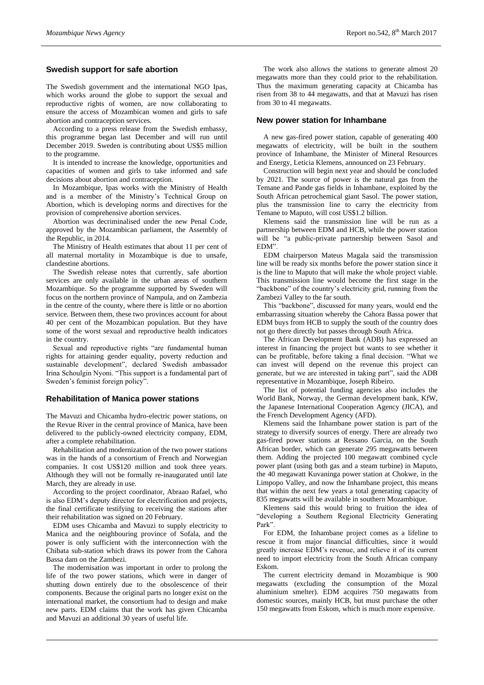### **Swedish support for safe abortion**

The Swedish government and the international NGO Ipas, which works around the globe to support the sexual and reproductive rights of women, are now collaborating to ensure the access of Mozambican women and girls to safe abortion and contraception services.

According to a press release from the Swedish embassy, this programme began last December and will run until December 2019. Sweden is contributing about US\$5 million to the programme.

It is intended to increase the knowledge, opportunities and capacities of women and girls to take informed and safe decisions about abortion and contraception.

In Mozambique, Ipas works with the Ministry of Health and is a member of the Ministry's Technical Group on Abortion, which is developing norms and directives for the provision of comprehensive abortion services.

Abortion was decriminalised under the new Penal Code, approved by the Mozambican parliament, the Assembly of the Republic, in 2014.

The Ministry of Health estimates that about 11 per cent of all maternal mortality in Mozambique is due to unsafe, clandestine abortions.

The Swedish release notes that currently, safe abortion services are only available in the urban areas of southern Mozambique. So the programme supported by Sweden will focus on the northern province of Nampula, and on Zambezia in the centre of the county, where there is little or no abortion service. Between them, these two provinces account for about 40 per cent of the Mozambican population. But they have some of the worst sexual and reproductive health indicators in the country.

Sexual and reproductive rights "are fundamental human rights for attaining gender equality, poverty reduction and sustainable development", declared Swedish ambassador Irina Schoulgin Nyoni. "This support is a fundamental part of Sweden's feminist foreign policy".

#### **Rehabilitation of Manica power stations**

The Mavuzi and Chicamba hydro-electric power stations, on the Revue River in the central province of Manica, have been delivered to the publicly-owned electricity company, EDM, after a complete rehabilitation.

Rehabilitation and modernization of the two power stations was in the hands of a consortium of French and Norwegian companies. It cost US\$120 million and took three years. Although they will not be formally re-inaugurated until late March, they are already in use.

According to the project coordinator, Abraao Rafael, who is also EDM's deputy director for electrification and projects, the final certificate testifying to receiving the stations after their rehabilitation was signed on 20 February.

EDM uses Chicamba and Mavuzi to supply electricity to Manica and the neighbouring province of Sofala, and the power is only sufficient with the interconnection with the Chibata sub-station which draws its power from the Cahora Bassa dam on the Zambezi.

The modernisation was important in order to prolong the life of the two power stations, which were in danger of shutting down entirely due to the obsolescence of their components. Because the original parts no longer exist on the international market, the consortium had to design and make new parts. EDM claims that the work has given Chicamba and Mavuzi an additional 30 years of useful life.

The work also allows the stations to generate almost 20 megawatts more than they could prior to the rehabilitation. Thus the maximum generating capacity at Chicamba has risen from 38 to 44 megawatts, and that at Mavuzi has risen from 30 to 41 megawatts.

#### **New power station for Inhambane**

A new gas-fired power station, capable of generating 400 megawatts of electricity, will be built in the southern province of Inhambane, the Minister of Mineral Resources and Energy, Leticia Klemens, announced on 23 February.

Construction will begin next year and should be concluded by 2021. The source of power is the natural gas from the Temane and Pande gas fields in Inhambane, exploited by the South African petrochemical giant Sasol. The power station, plus the transmission line to carry the electricity from Temane to Maputo, will cost US\$1.2 billion.

Klemens said the transmission line will be run as a partnership between EDM and HCB, while the power station will be "a public-private partnership between Sasol and EDM".

EDM chairperson Mateus Magala said the transmission line will be ready six months before the power station since it is the line to Maputo that will make the whole project viable. This transmission line would become the first stage in the "backbone" of the country's electricity grid, running from the Zambezi Valley to the far south.

This "backbone", discussed for many years, would end the embarrassing situation whereby the Cahora Bassa power that EDM buys from HCB to supply the south of the country does not go there directly but passes through South Africa.

The African Development Bank (ADB) has expressed an interest in financing the project but wants to see whether it can be profitable, before taking a final decision. "What we can invest will depend on the revenue this project can generate, but we are interested in taking part", said the ADB representative in Mozambique, Joseph Ribeiro.

The list of potential funding agencies also includes the World Bank, Norway, the German development bank, KfW, the Japanese International Cooperation Agency (JICA), and the French Development Agency (AFD).

Klemens said the Inhambane power station is part of the strategy to diversify sources of energy. There are already two gas-fired power stations at Ressano Garcia, on the South African border, which can generate 295 megawatts between them. Adding the projected 100 megawatt combined cycle power plant (using both gas and a steam turbine) in Maputo, the 40 megawatt Kuvaninga power station at Chokwe, in the Limpopo Valley, and now the Inhambane project, this means that within the next few years a total generating capacity of 835 megawatts will be available in southern Mozambique.

Klemens said this would bring to fruition the idea of "developing a Southern Regional Electricity Generating Park".

For EDM, the Inhambane project comes as a lifeline to rescue it from major financial difficulties, since it would greatly increase EDM's revenue, and relieve it of its current need to import electricity from the South African company Eskom.

The current electricity demand in Mozambique is 900 megawatts (excluding the consumption of the Mozal aluminium smelter). EDM acquires 750 megawatts from domestic sources, mainly HCB, but must purchase the other 150 megawatts from Eskom, which is much more expensive.